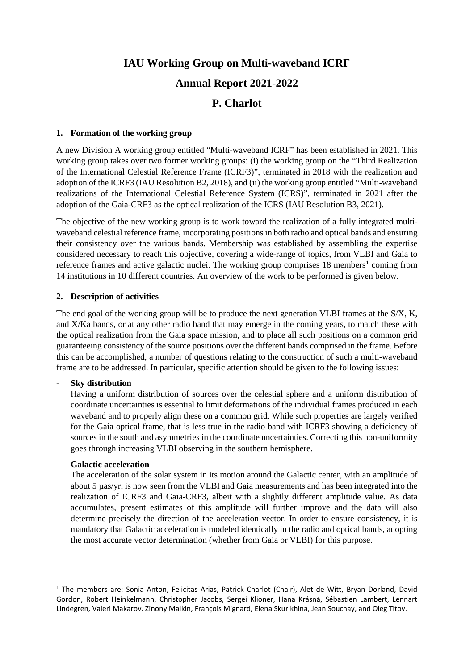# **IAU Working Group on Multi-waveband ICRF Annual Report 2021-2022 P. Charlot**

#### **1. Formation of the working group**

A new Division A working group entitled "Multi-waveband ICRF" has been established in 2021. This working group takes over two former working groups: (i) the working group on the "Third Realization of the International Celestial Reference Frame (ICRF3)", terminated in 2018 with the realization and adoption of the ICRF3 (IAU Resolution B2, 2018), and (ii) the working group entitled "Multi-waveband realizations of the International Celestial Reference System (ICRS)", terminated in 2021 after the adoption of the Gaia-CRF3 as the optical realization of the ICRS (IAU Resolution B3, 2021).

The objective of the new working group is to work toward the realization of a fully integrated multiwaveband celestial reference frame, incorporating positions in both radio and optical bands and ensuring their consistency over the various bands. Membership was established by assembling the expertise considered necessary to reach this objective, covering a wide-range of topics, from VLBI and Gaia to reference frames and active galactic nuclei. The working group comprises  $18$  $18$  members<sup>1</sup> coming from 14 institutions in 10 different countries. An overview of the work to be performed is given below.

#### **2. Description of activities**

The end goal of the working group will be to produce the next generation VLBI frames at the S/X, K, and X/Ka bands, or at any other radio band that may emerge in the coming years, to match these with the optical realization from the Gaia space mission, and to place all such positions on a common grid guaranteeing consistency of the source positions over the different bands comprised in the frame. Before this can be accomplished, a number of questions relating to the construction of such a multi-waveband frame are to be addressed. In particular, specific attention should be given to the following issues:

#### - **Sky distribution**

Having a uniform distribution of sources over the celestial sphere and a uniform distribution of coordinate uncertainties is essential to limit deformations of the individual frames produced in each waveband and to properly align these on a common grid. While such properties are largely verified for the Gaia optical frame, that is less true in the radio band with ICRF3 showing a deficiency of sources in the south and asymmetries in the coordinate uncertainties. Correcting this non-uniformity goes through increasing VLBI observing in the southern hemisphere.

#### - **Galactic acceleration**

The acceleration of the solar system in its motion around the Galactic center, with an amplitude of about 5 µas/yr, is now seen from the VLBI and Gaia measurements and has been integrated into the realization of ICRF3 and Gaia-CRF3, albeit with a slightly different amplitude value. As data accumulates, present estimates of this amplitude will further improve and the data will also determine precisely the direction of the acceleration vector. In order to ensure consistency, it is mandatory that Galactic acceleration is modeled identically in the radio and optical bands, adopting the most accurate vector determination (whether from Gaia or VLBI) for this purpose.

<span id="page-0-0"></span> <sup>1</sup> The members are: Sonia Anton, Felicitas Arias, Patrick Charlot (Chair), Alet de Witt, Bryan Dorland, David Gordon, Robert Heinkelmann, Christopher Jacobs, Sergei Klioner, Hana Krásná, Sébastien Lambert, Lennart Lindegren, Valeri Makarov. Zinony Malkin, François Mignard, Elena Skurikhina, Jean Souchay, and Oleg Titov.